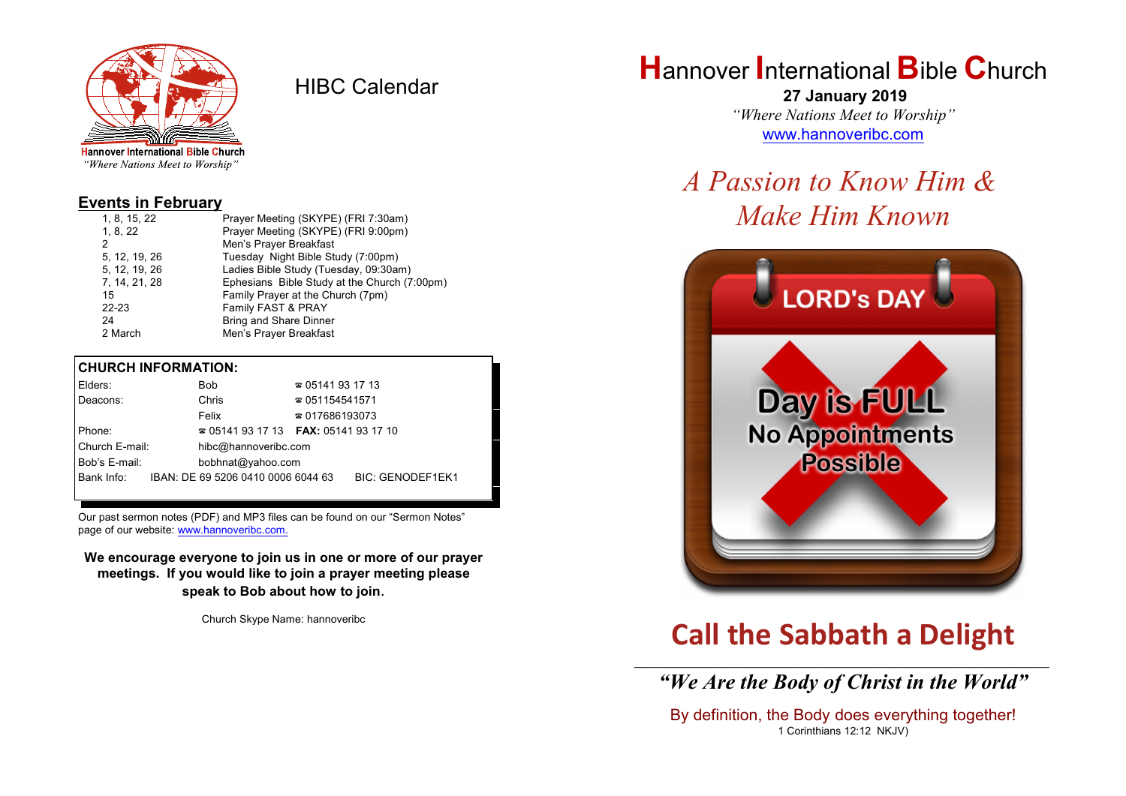

HIBC Calendar

"Where Nations Meet to Worship"

### **Events in February**

| 1, 8, 15, 22  | Prayer Meeting (SKYPE) (FRI 7:30am)          |
|---------------|----------------------------------------------|
| 1, 8, 22      | Prayer Meeting (SKYPE) (FRI 9:00pm)          |
| 2             | Men's Prayer Breakfast                       |
| 5, 12, 19, 26 | Tuesday Night Bible Study (7:00pm)           |
| 5, 12, 19, 26 | Ladies Bible Study (Tuesday, 09:30am)        |
| 7, 14, 21, 28 | Ephesians Bible Study at the Church (7:00pm) |
| 15            | Family Prayer at the Church (7pm)            |
| $22 - 23$     | Family FAST & PRAY                           |
| 24            | Bring and Share Dinner                       |
| 2 March       | Men's Prayer Breakfast                       |
|               |                                              |

#### **CHURCH INFORMATION:**

| Elders:        | <b>Bob</b>                                          | $\approx 05141931713$  |                         |  |
|----------------|-----------------------------------------------------|------------------------|-------------------------|--|
| Deacons:       | Chris                                               | $\approx 051154541571$ |                         |  |
|                | Felix                                               | $\approx 017686193073$ |                         |  |
| Phone:         | <b>2</b> 05141 93 17 13 <b>FAX</b> : 05141 93 17 10 |                        |                         |  |
| Church E-mail: | hibc@hannoveribc.com                                |                        |                         |  |
| Bob's E-mail:  | bobhnat@yahoo.com                                   |                        |                         |  |
| Bank Info:     | IBAN: DE 69 5206 0410 0006 6044 63                  |                        | <b>BIC: GENODEF1EK1</b> |  |
|                |                                                     |                        |                         |  |

Our past sermon notes (PDF) and MP3 files can be found on our "Sermon Notes" page of our website: [www.hannoveribc.com.](http://www.hannoveribc.com.)

**We encourage everyone to join us in one or more of our prayer meetings. If you would like to join a prayer meeting please speak to Bob about how to join**.

Church Skype Name: hannoveribc

# **H**annover **I**nternational **B**ible **C**hurch

 **27 January 2019** *"Where Nations Meet to Worship"* [www.hannoveribc.com](http://www.hannoveribc.com)

# *A Passion to Know Him & Make Him Known*



# **Call the Sabbath a Delight**

\_\_\_\_\_\_\_\_\_\_\_\_\_\_\_\_\_\_\_\_\_\_\_\_\_\_\_\_\_\_\_\_\_\_\_\_\_\_\_\_\_\_\_\_\_\_\_\_\_\_\_\_\_\_\_\_\_\_\_\_\_\_ *"We Are the Body of Christ in the World"*

By definition, the Body does everything together! 1 Corinthians 12:12 NKJV)